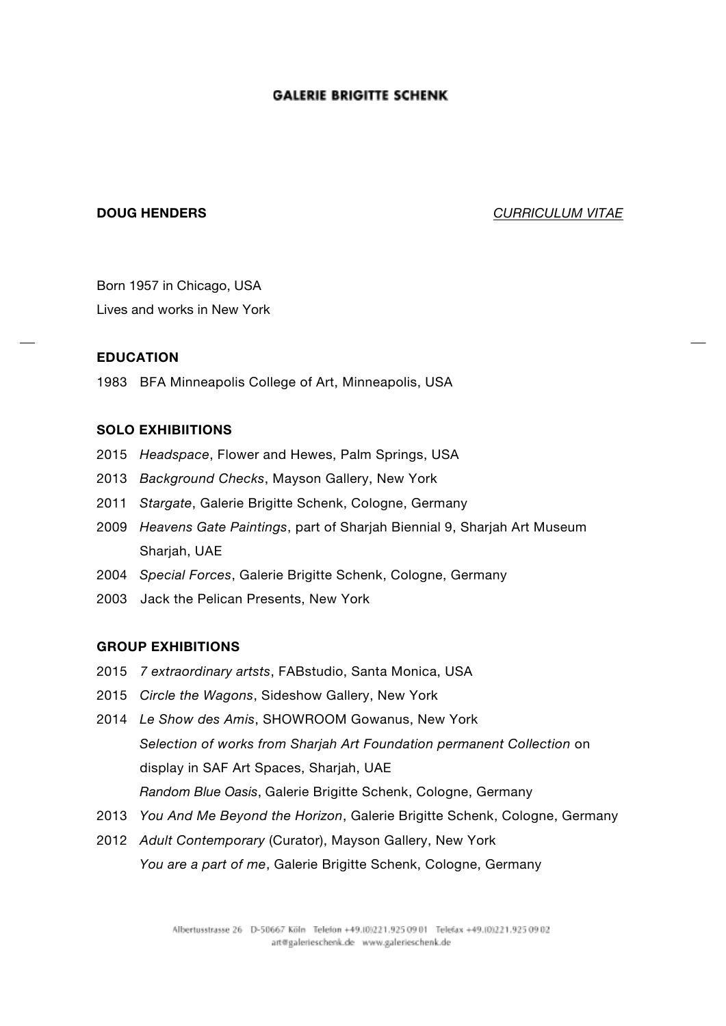**DOUG HENDERS** *CURRICULUM VITAE* 

Born 1957 in Chicago, USA Lives and works in New York

# **EDUCATION**

1983 BFA Minneapolis College of Art, Minneapolis, USA

# **SOLO EXHIBIITIONS**

- 2015 *Headspace*, Flower and Hewes, Palm Springs, USA
- 2013 *Background Checks*, Mayson Gallery, New York
- 2011 *Stargate*, Galerie Brigitte Schenk, Cologne, Germany
- 2009 *Heavens Gate Paintings*, part of Sharjah Biennial 9, Sharjah Art Museum Sharjah, UAE
- 2004 *Special Forces*, Galerie Brigitte Schenk, Cologne, Germany
- 2003 Jack the Pelican Presents, New York

### **GROUP EXHIBITIONS**

- 2015 *7 extraordinary artsts*, FABstudio, Santa Monica, USA
- 2015 *Circle the Wagons*, Sideshow Gallery, New York
- 2014 *Le Show des Amis*, SHOWROOM Gowanus, New York *Selection of works from Sharjah Art Foundation permanent Collection* on display in SAF Art Spaces, Sharjah, UAE *Random Blue Oasis*, Galerie Brigitte Schenk, Cologne, Germany
- 2013 *You And Me Beyond the Horizon*, Galerie Brigitte Schenk, Cologne, Germany
- 2012 *Adult Contemporary* (Curator), Mayson Gallery, New York *You are a part of me*, Galerie Brigitte Schenk, Cologne, Germany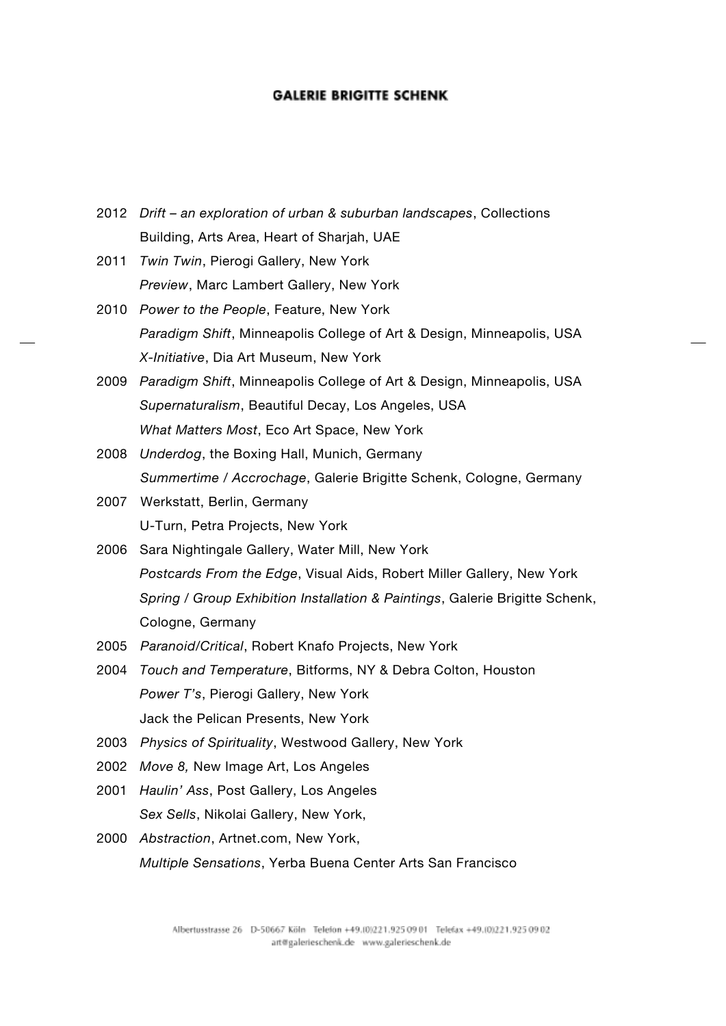- 2012 *Drift – an exploration of urban & suburban landscapes*, Collections Building, Arts Area, Heart of Sharjah, UAE
- 2011 *Twin Twin*, Pierogi Gallery, New York *Preview*, Marc Lambert Gallery, New York
- 2010 *Power to the People*, Feature, New York *Paradigm Shift*, Minneapolis College of Art & Design, Minneapolis, USA *X-Initiative*, Dia Art Museum, New York
- 2009 *Paradigm Shift*, Minneapolis College of Art & Design, Minneapolis, USA *Supernaturalism*, Beautiful Decay, Los Angeles, USA *What Matters Most*, Eco Art Space, New York
- 2008 *Underdog*, the Boxing Hall, Munich, Germany *Summertime / Accrochage*, Galerie Brigitte Schenk, Cologne, Germany
- 2007 Werkstatt, Berlin, Germany U-Turn, Petra Projects, New York
- 2006 Sara Nightingale Gallery, Water Mill, New York *Postcards From the Edge*, Visual Aids, Robert Miller Gallery, New York *Spring / Group Exhibition Installation & Paintings*, Galerie Brigitte Schenk, Cologne, Germany
- 2005 *Paranoid/Critical*, Robert Knafo Projects, New York
- 2004 *Touch and Temperature*, Bitforms, NY & Debra Colton, Houston *Power T's*, Pierogi Gallery, New York Jack the Pelican Presents, New York
- 2003 *Physics of Spirituality*, Westwood Gallery, New York
- 2002 *Move 8,* New Image Art, Los Angeles
- 2001 *Haulin' Ass*, Post Gallery, Los Angeles *Sex Sells*, Nikolai Gallery, New York,
- 2000 *Abstraction*, Artnet.com, New York, *Multiple Sensations*, Yerba Buena Center Arts San Francisco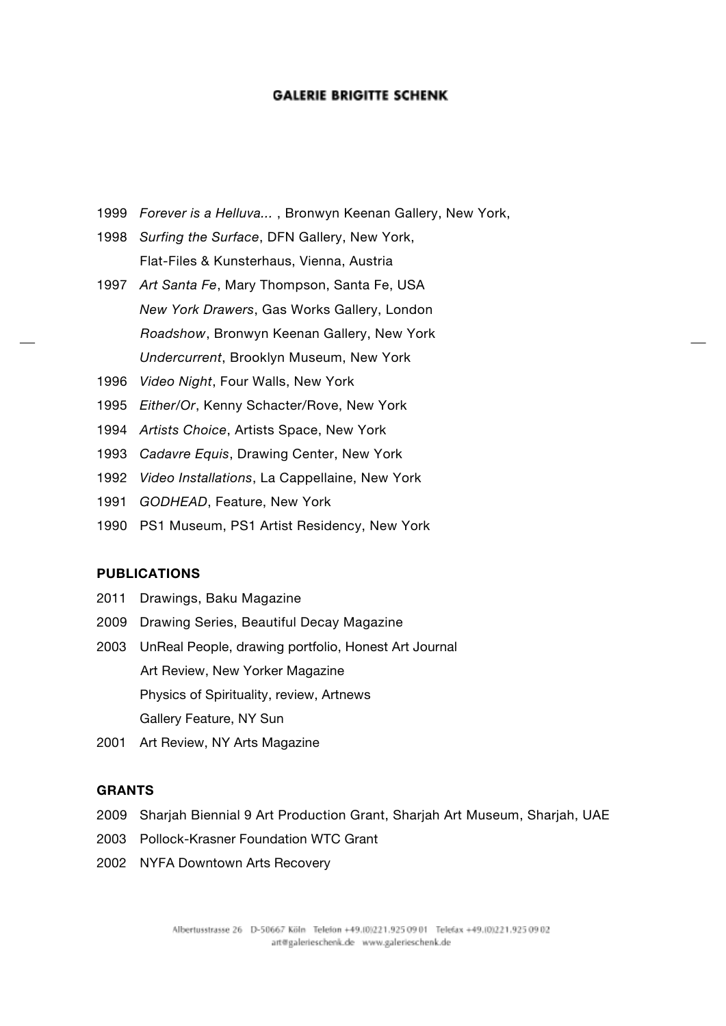- 1999 *Forever is a Helluva...* , Bronwyn Keenan Gallery, New York,
- 1998 *Surfing the Surface*, DFN Gallery, New York, Flat-Files & Kunsterhaus, Vienna, Austria
- 1997 *Art Santa Fe*, Mary Thompson, Santa Fe, USA *New York Drawers*, Gas Works Gallery, London *Roadshow*, Bronwyn Keenan Gallery, New York *Undercurrent*, Brooklyn Museum, New York
- 1996 *Video Night*, Four Walls, New York
- 1995 *Either/Or*, Kenny Schacter/Rove, New York
- 1994 *Artists Choice*, Artists Space, New York
- 1993 *Cadavre Equis*, Drawing Center, New York
- 1992 *Video Installations*, La Cappellaine, New York
- 1991 *GODHEAD*, Feature, New York
- 1990 PS1 Museum, PS1 Artist Residency, New York

## **PUBLICATIONS**

- 2011 Drawings, Baku Magazine
- 2009 Drawing Series, Beautiful Decay Magazine
- 2003 UnReal People, drawing portfolio, Honest Art Journal Art Review, New Yorker Magazine Physics of Spirituality, review, Artnews Gallery Feature, NY Sun
- 2001 Art Review, NY Arts Magazine

# **GRANTS**

- 2009 Sharjah Biennial 9 Art Production Grant, Sharjah Art Museum, Sharjah, UAE
- 2003 Pollock-Krasner Foundation WTC Grant
- 2002 NYFA Downtown Arts Recovery